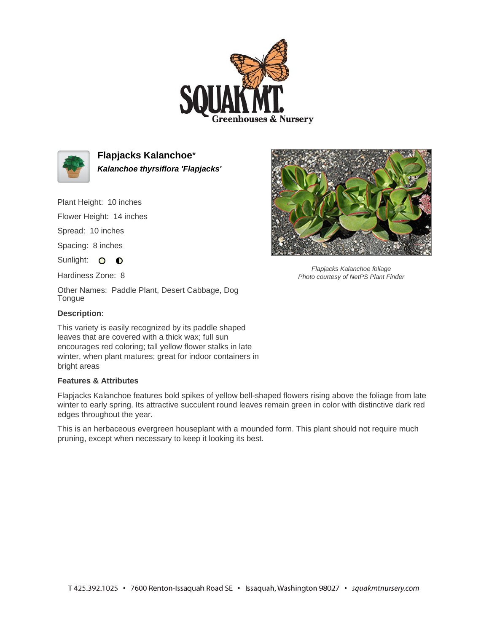



**Flapjacks Kalanchoe**\* **Kalanchoe thyrsiflora 'Flapjacks'**

Plant Height: 10 inches

Flower Height: 14 inches

Spread: 10 inches

Spacing: 8 inches

Sunlight: O O

Hardiness Zone: 8

Other Names: Paddle Plant, Desert Cabbage, Dog Tongue

## **Description:**

This variety is easily recognized by its paddle shaped leaves that are covered with a thick wax; full sun encourages red coloring; tall yellow flower stalks in late winter, when plant matures; great for indoor containers in bright areas

## **Features & Attributes**

Flapjacks Kalanchoe features bold spikes of yellow bell-shaped flowers rising above the foliage from late winter to early spring. Its attractive succulent round leaves remain green in color with distinctive dark red edges throughout the year.

This is an herbaceous evergreen houseplant with a mounded form. This plant should not require much pruning, except when necessary to keep it looking its best.



Flapjacks Kalanchoe foliage Photo courtesy of NetPS Plant Finder